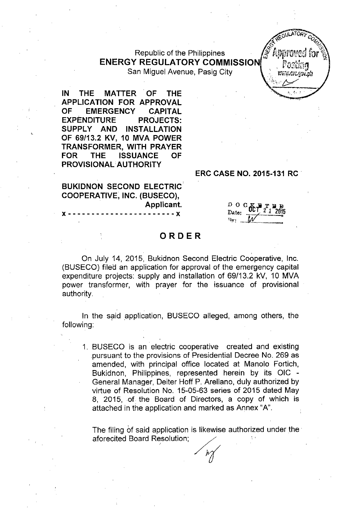#### Republic of the Philippines **ENERGY REGULATORY COMMISSION** San Miguel Avenue, Pasig City

IN THE MATTER' OF THE APPLICATION FOR APPROVAL OF EMERGENCY CAPITAL EXPENDITURE PROJECTS: SUPPLY AND INSTALLATION OF 69/13.2 KV, 10 MVA POWER TRANSFORMER, WITH PRAYER FOR THE ISSUANCE OF PROVISIONAL. AUTHORITY

ERC CASE NO. 2015-131 RC .

BUKIDNON SECOND ELECTRIC COOPERATIVE, INC. (BUSECO), Applicant. **x** -----------------------

 $_{\rm D}$  o c $\rm \Psi$  a  $\rm T$  a Date:  $\frac{0.1212015}{0.1212015}$  $v_{\gamma}$ :  $\mathcal{W}$ 

#### ORDER

On July 14, 2015, Bukidnon Second Electric Cooperative, Inc. (BUSECO) filed an application for approval of the emergency capital expenditure projects: supply and installation of 69/13.2 kV, 10 MVA power transformer, with prayer for the issuance of provisional authority.

In the said application, BUSECO alleged, among others, the following:

1. BUSECO is an electric cooperative created and existing pursuant to the provisions of Presidential Decree No. 269 as amended, with principal office located at Manolo Fortich, Bukidnon, Philippines, represented herein by its OIC - General Manager, Deiter Hoff P. Arellano, duly authorized by virtue of Resolution No. 15-05-63 series of 2015 dated May 8, 2015, of the Board of Directors, a copy of which is attached in the application and marked as Annex "A".

The filing of said application is likewise authorized under the' aforecited Board Resolution;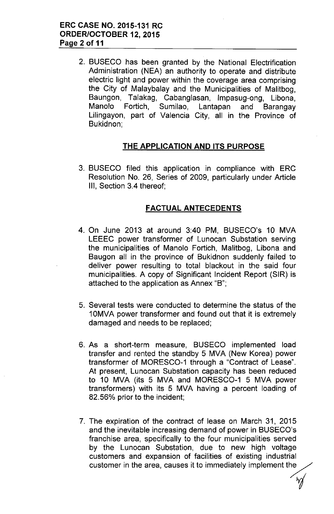2. BUSECO has been granted by the National Electrification Administration (NEA) an authority to operate and distribute electric light and power within the coverage area comprising the City of Malaybalay and the Municipalities of Malitbog, Baungon, Talakag, Cabanglasan, Impasug-ong, Libona, Manolo Fortich, Sumilao, Lantapan and Barangay Lilingayon, part of Valencia City, all in the Province of Bukidnon;

### **THE APPLICATION AND ITS PURPOSE**

3. BUSECO filed this application in compliance with ERC Resolution No. 26, Series of 2009, particularly under Article III, Section 3.4 thereof;

#### FACTUAL ANTECEDENTS

- 4. On June 2013 at around 3:40 PM, BUSECO's 10 MVA LEEEC power transformer of Lunocan Substation serving the municipalities of Manolo Fortich, Malitbog, Libona and Baugon all in the province of Bukidnon suddenly failed to deliver power resulting to total blackout in the said four municipalities. A copy of Significant Incident Report (SIR) is attached to the application as Annex "B";
- 5. Several tests were conducted to determine the status of the 10MVA power transformer and found out that it is extremely damaged and needs to be replaced;
- 6. As a short-term measure, BUSECO implemented load transfer and rented the standby 5 MVA (New Korea) power transformer of MORESCO-1 through a "Contract of Lease". At present, Lunocan Substation capacity has been reduced to 10 MVA (its 5 MVA and MORESCO-1 5 MVA power transformers) with its 5 MVA having a percent loading of 82.56% prior to the incident;
- 7. The expiration of the contract of lease on March 31, 2015 and the inevitable increasing demand of power in BUSECO's franchise area, specifically to the four municipalities served by the Lunocan Substation, due to new high voltage customers and expansion of facilities of existing industrial customer in the area, causes it to immediately implement the

*i*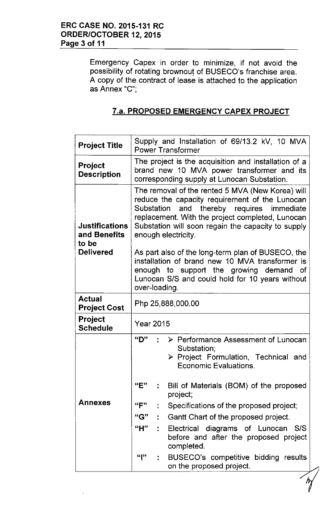Emergency Capex in order to minimize, if not avoid the possibility of rotating brownout of BUSECO's franchise area. A copy of the contract of lease is attached to the application as Annex "C'",

# 7.a. **PROPOSED EMERGENCY CAPEX PROJECT**

| <b>Project Title</b>                           | Supply and Installation of 69/13.2 kV, 10 MVA<br><b>Power Transformer</b>                                                                                                                                                                                                        |                                                                                                                     |  |  |  |  |  |  |  |  |
|------------------------------------------------|----------------------------------------------------------------------------------------------------------------------------------------------------------------------------------------------------------------------------------------------------------------------------------|---------------------------------------------------------------------------------------------------------------------|--|--|--|--|--|--|--|--|
| <b>Project</b><br><b>Description</b>           | The project is the acquisition and installation of a<br>brand new 10 MVA power transformer and its<br>corresponding supply at Lunocan Substation.                                                                                                                                |                                                                                                                     |  |  |  |  |  |  |  |  |
| <b>Justifications</b><br>and Benefits<br>to be | The removal of the rented 5 MVA (New Korea) will<br>reduce the capacity requirement of the Lunocan<br>Substation and thereby requires immediate<br>replacement. With the project completed, Lunocan<br>Substation will soon regain the capacity to supply<br>enough electricity. |                                                                                                                     |  |  |  |  |  |  |  |  |
| <b>Delivered</b>                               | As part also of the long-term plan of BUSECO, the<br>installation of brand new 10 MVA transformer is<br>enough to support the growing demand of<br>Lunocan S/S and could hold for 10 years without<br>over-loading.                                                              |                                                                                                                     |  |  |  |  |  |  |  |  |
| <b>Actual</b><br>Project Cost                  | Php 25,888,000.00                                                                                                                                                                                                                                                                |                                                                                                                     |  |  |  |  |  |  |  |  |
| <b>Project</b><br><b>Schedule</b>              | <b>Year 2015</b>                                                                                                                                                                                                                                                                 |                                                                                                                     |  |  |  |  |  |  |  |  |
|                                                | "D"                                                                                                                                                                                                                                                                              | ▶ Performance Assessment of Lunocan<br>Substation;<br>> Project Formulation, Technical and<br>Economic Evaluations. |  |  |  |  |  |  |  |  |
|                                                | "E"                                                                                                                                                                                                                                                                              | Bill of Materials (BOM) of the proposed<br>project;                                                                 |  |  |  |  |  |  |  |  |
| <b>Annexes</b>                                 | "F"                                                                                                                                                                                                                                                                              | Specifications of the proposed project;                                                                             |  |  |  |  |  |  |  |  |
|                                                | "G"                                                                                                                                                                                                                                                                              | Gantt Chart of the proposed project.                                                                                |  |  |  |  |  |  |  |  |
|                                                | "H"<br>÷.                                                                                                                                                                                                                                                                        | Electrical diagrams of Lunocan<br>S/S<br>before and after the proposed project<br>completed.                        |  |  |  |  |  |  |  |  |
|                                                | $\mathbb{F}$                                                                                                                                                                                                                                                                     | BUSECO's competitive bidding results<br>on the proposed project.                                                    |  |  |  |  |  |  |  |  |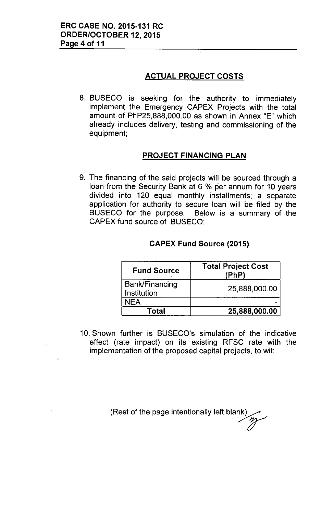## **ACTUAL PROJECT COSTS**

8. BUSECO is seeking for the authority to immediately implement the Emergency CAPEX Projects with the total amount of PhP25,888,000.00 as shown in Annex "E" which already includes delivery, testing and commissioning of the equipment;

# **PROJECT FINANCING PLAN**

9. The financing of the said projects will be sourced through a loan from the Security Bank at 6 % per annum for 10 years divided into 120 equal monthly installments; a separate application for authority to secure loan will be filed by the BUSECO for the purpose. Below is a summary of the CAPEX fund source of BUSECO:

| <b>Fund Source</b>            | <b>Total Project Cost</b><br>(PhP) |  |  |  |  |
|-------------------------------|------------------------------------|--|--|--|--|
| Bank/Financing<br>Institution | 25,888,000.00                      |  |  |  |  |
| <b>NEA</b>                    |                                    |  |  |  |  |
| Total                         | 25,888,000.00                      |  |  |  |  |

### **CAPEX Fund Source (2015)**

10. Shown further is BUSECO's simulation of the indicative effect (rate impact) on its existing RFSC rate with the implementation of the proposed capital projects, to wit:

> (Rest of the page intentionally left blank n<br>M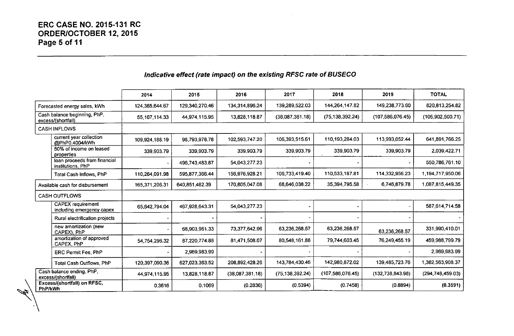### *Indicative effect (rate impact) on the existing RFSC rate* **of** *BUSECO*

|                                                                                           |                                                       | 2014            | 2015           | 2016            | 2017              | 2018               | 2019               | <b>TOTAL</b>       |
|-------------------------------------------------------------------------------------------|-------------------------------------------------------|-----------------|----------------|-----------------|-------------------|--------------------|--------------------|--------------------|
| Forecasted energy sales, kWh                                                              |                                                       | 124,365,644.67  | 129,340,270.46 | 134,314,896.24  | 139,289,522.03    | 144.264,147.82     | 149,238,773.60     | 820,813,254.82     |
| Cash balance beginning, PhP,<br>excess/(shortfall)                                        |                                                       | 55, 107, 114.33 | 44,974,115.95  | 13,828,118.87   | (38,087,381.18)   | (75, 138, 392.24)  | (107, 586, 076.45) | (106, 902, 500.71) |
| <b>CASH INFLOWS</b>                                                                       |                                                       |                 |                |                 |                   |                    |                    |                    |
|                                                                                           | current year collection<br>@PhP0.4004/kWh             | 109,924,188.19  | 98,793,978.78  | 102,593,747.20  | 106.393,515.61    | 110,193,284.03     | 113,993,052.44     | 641.891.766.25     |
|                                                                                           | 50% of income on leased<br>properties                 | 339,903.79      | 339,903.79     | 339.903.79      | 339,903.79        | 339,903.79         | 339,903.79         | 2,039,422.71       |
|                                                                                           | loan proceeds from financial<br>institutions, PhP     |                 | 496,743,483.87 | 54,043,277.23   |                   |                    |                    | 550,786,761.10     |
|                                                                                           | Total Cash Inflows, PhP                               | 110,264,091.98  | 595,877,366.44 | 156,976,928.21  | 106,733,419.40    | 110,533,187.81     | 114,332,956.23     | 1,194,717,950.06   |
| Available cash for disbursement                                                           |                                                       | 165,371,206.31  | 640,851,482.39 | 170,805,047.08  | 68,646,038.22     | 35,394,795.58      | 6.746.879.78       | 1,087,815,449.35   |
| <b>CASH OUTFLOWS</b>                                                                      |                                                       |                 |                |                 |                   |                    |                    |                    |
|                                                                                           | <b>CAPEX</b> requirement<br>including emergency capex | 65,642,794.04   | 467,928,643.31 | 54,043,277.23   |                   |                    |                    | 587 614 714 58     |
|                                                                                           | Rural electrification projects                        |                 |                |                 |                   |                    |                    |                    |
|                                                                                           | new amortization (new<br>CAPEX), PhP                  |                 | 68,903,961.33  | 73,377,642.96   | 63,236,268.57     | 63,236,268.57      | 63,236,268.57      | 331,990,410.01     |
|                                                                                           | amortization of approved<br>CAPEX, PhP                | 54,754,296.32   | 87,220,774.88  | 81,471,508.07   | 80,548,161.88     | 79,744,603.45      | 76.249.455.19      | 459 988 799 79     |
|                                                                                           | <b>ERC Permit Fee. PhP</b>                            |                 | 2,969,983.99   |                 |                   |                    |                    | 2,969,983.99       |
|                                                                                           | <b>Total Cash Outflows, PhP</b>                       | 120,397,090.36  | 627,023,363.52 | 208,892,428.26  | 143,784,430.46    | 142,980,872.02     | 139,485,723.76     | 1,382,563,908.37   |
| Cash balance ending, PhP,<br>excess/(shortfall)<br>Excess/(shortfall) on RFSC,<br>PhP/kWh |                                                       | 44,974,115.95   | 13,828,118.87  | (38,087,381.18) | (75, 138, 392.24) | (107, 586, 076.45) | (132, 738, 843.98) | (294, 748, 459.03) |
|                                                                                           |                                                       | 0.3616          | 0.1069         | (0.2836)        | (0.5394)          | (0.7458)           | (0.8894)           | (0.3591)           |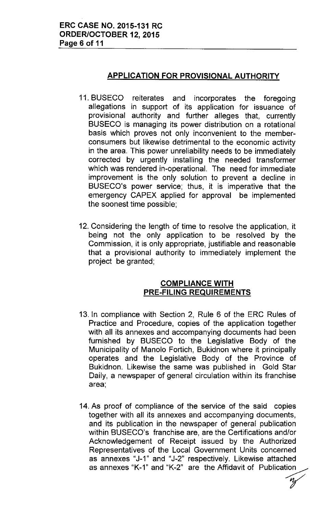## **APPLICATION FOR PROVISIONAL AUTHORITY**

- 11. BUSECO reiterates and incorporates the foregoing allegations in support of its application for issuance of provisional authority and further alleges that, currently BUSECO is managing its power distribution on a rotational basis which proves not only inconvenient to the memberconsumers but likewise detrimental to the economic activity in the area. This power unreliability needs to be immediately corrected by urgently installing the needed transformer which was rendered in-operational. The need for immediate improvement is the only solution to prevent a decline in BUSECO's power service; thus, it is imperative that the emergency CAPEX applied for approval be implemented the soonest time possible;
- 12. Considering the length of time to resolve the application, it being not the only application to be resolved by the Commission, it is only appropriate, justifiable and reasonable that a provisional authority to immediately implement the project be granted;

#### **COMPLIANCE WITH PRE-FILING REQUIREMENTS**

- 13. In compliance with Section 2, Rule 6 of the ERC Rules of Practice and Procedure, copies of the application together with all its annexes and accompanying documents had been furnished by BUSECO to the Legislative Body of the Municipality of Manolo Fortich, Bukidnon where it principally operates and the Legislative Body of the Province of Bukidnon. Likewise the same was published in Gold Star Daily, a newspaper of general circulation within its franchise area;
- 14. As proof of compliance of the service of the said copies together with all its annexes and accompanying documents, and its publication in the newspaper of general publication within BUSECO's franchise are, are the Certifications and/or Acknowledgement of Receipt issued by the Authorized Representatives of the Local Government Units concerned as annexes "J-1" and "J-2" respectively. Likewise attached as annexes "K-1" and "K-2" are the Affidavit of Publication

*V*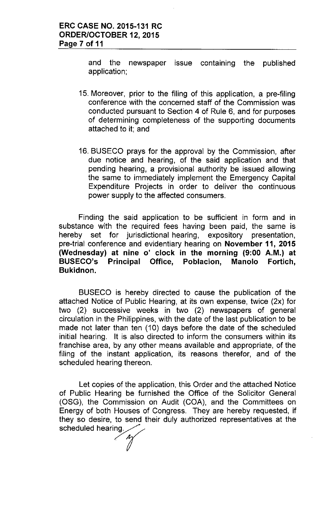and the newspaper issue containing the published application;

- 15. Moreover, prior to the filing of this application, a pre-filing conference with the concerned staff of the Commission was conducted pursuant to Section 4 of Rule 6, and for purposes of determining completeness of the supporting documents attached to it; and
- 16. BUSECO prays for the approval by the Commission, after due notice and hearing, of the said application and that pending hearing, a provisional authority be issued allowing the same to immediately implement the Emergency Capital Expenditure Projects in order to deliver the continuous power supply to the affected consumers.

Finding the said application to be sufficient in form and in substance with the required fees having been paid, the same is hereby set for jurisdictional hearing, expository presentation, pre-trial conference and evidentiary hearing on November 11, 2015 (Wednesday) at nine 0' clock in the morning (9:00 A.M.) at BUSECO's Principal Office, Poblacion, Manolo Fortich, Bukidnon.

BUSECO is hereby directed to cause the publication of the attached Notice of Public Hearing, at its own expense, twice (2x) for two (2) successive weeks in two (2) newspapers of general circulation in the Philippines, with the date of the last publication to be made not later than ten (10) days before the date of the scheduled initial hearing. It is also directed to inform the consumers within its franchise area, by any other means available and appropriate, of the filing of the instant application, its reasons therefor, and of the scheduled hearing thereon.

Let copies of the application, this Order and the attached Notice of Public Hearing be furnished the Office of the Solicitor General (OSG), the Commission on Audit (COA), and the Committees on Energy of both Houses of Congress. They are hereby requested, if they so desire, to send their duly authorized representatives at the scheduled hearing.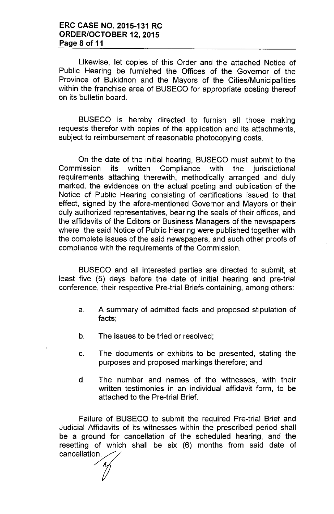Likewise, let copies of this Order and the attached Notice of Public Hearing be furnished the Offices of the Governor of the Province of Bukidnon and the Mayors of the Cities/Municipalities within the franchise area of BUSECO for appropriate posting thereof on its bulletin board.

BUSECO is hereby directed to furnish all those making requests therefor with copies of the application and its attachments, subject to reimbursement of reasonable photocopying costs.

On the date of the initial hearing, BUSECO must submit to the Commission its written Compliance with the jurisdictional requirements attaching therewith, methodically arranged and duly marked, the evidences on the actual posting and publication of the Notice of Public Hearing consisting of certifications issued to that effect, signed by the afore-mentioned Governor and Mayors or their duly authorized representatives, bearing the seals of their offices, and the affidavits of the Editors or Business Managers of the newspapers where the said Notice of Public Hearing were published together with the complete issues of the said newspapers, and such other proofs of compliance with the requirements of the Commission.

BUSECO and all interested parties are directed to submit, at least five (5) days before the date of initial hearing and pre-trial conference, their respective Pre-trial Briefs containing, among others:

- a. A summary of admitted facts and proposed stipulation of facts;
- b. The issues to be tried or resolved;
- c. The documents or exhibits to be presented, stating the purposes and proposed markings therefore; and
- d. The number and names of the witnesses, with their written testimonies in an individual affidavit form, to be attached to the Pre-trial Brief.

Failure of BUSECO to submit the required Pre-trial Brief and Judicial Affidavits of its witnesses within the prescribed period shall be a ground for cancellation of the scheduled hearing, and the resetting of which shall be six (6) months from said date of cancellation.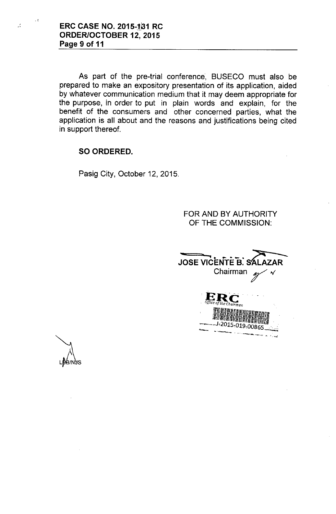$\mathcal{L}$ 

As part of the pre-trial conference, BUSECO must also be prepared to make an expository presentation of its application, aided by whatever communication medium that it may deem appropriate for the purpose, in order to put in plain words and explain, for the benefit of the consumers and other concerned parties, what the application is all about and the reasons and justifications being cited in support thereof.

# **SO ORDERED.**

Pasig City, October 12, 2015.

FOR AND BY AUTHORITY OF THE COMMISSION:

**JOSE VICENTE B. SALAZAR** 2015-019-00865

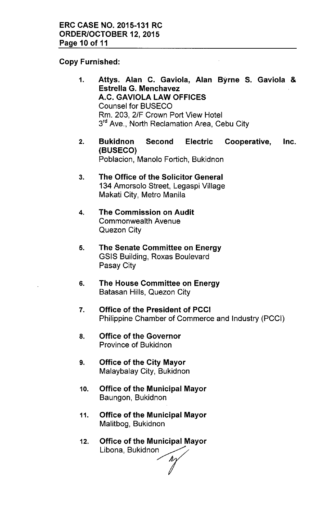## Copy Furnished:

- 1. Attys. Alan C. Gaviola, Alan Byrne S. Gaviola & Estrella G. Menchavez A.C. GAVIOLA LAW OFFICES Counsel for BUSECO Rm. 203, 2/F Crown Port View Hotel 3<sup>rd</sup> Ave., North Reclamation Area, Cebu City
- 2. Bukidnon Second Electric Cooperative, Inc. (BUSECO) Poblacion, Manolo Fortich, Bukidnon
- 3. The Office of the Solicitor General 134 Amorsolo Street, Legaspi Village Makati City, Metro Manila
- 4. The Commission on Audit Commonwealth Avenue Quezon City
- 5. The Senate Committee on Energy GSIS Building, Roxas Boulevard Pasay City
- 6. The House Committee on Energy Batasan Hills, Quezon City
- 7. Office of the President of PCCI Philippine Chamber of Commerce and Industry (PCCI)
- 8. Office of the Governor Province of Bukidnon
- 9. Office of the City Mayor Malaybalay City, Bukidnon
- 10. Office of the Municipal Mayor Baungon, Bukidnon
- 11. Office of the Municipal Mayor Malitbog, Bukidnon
- 12. Office of the Municipal Mayor Libona, Bukidnon